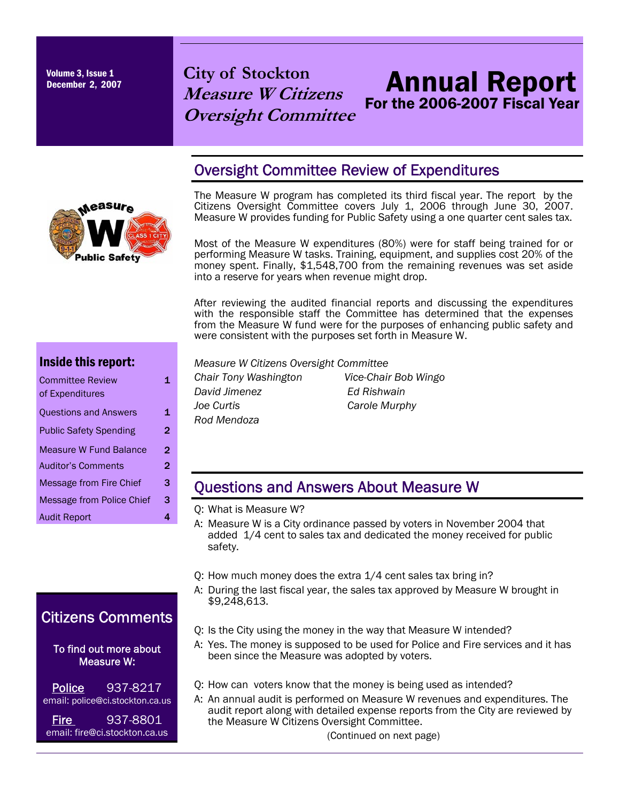Volume 3, Issue 1

# Volume 3, Issue 1<br>December 2, 2007 **City of Stockton Measure W Citizens Oversight Committee**

# Annual Report For the 2006-2007 Fiscal Year

### Oversight Committee Review of Expenditures

The Measure W program has completed its third fiscal year. The report by the Citizens Oversight Committee covers July 1, 2006 through June 30, 2007. Measure W provides funding for Public Safety using a one quarter cent sales tax.

Most of the Measure W expenditures (80%) were for staff being trained for or performing Measure W tasks. Training, equipment, and supplies cost 20% of the money spent. Finally, \$1,548,700 from the remaining revenues was set aside into a reserve for years when revenue might drop.

After reviewing the audited financial reports and discussing the expenditures with the responsible staff the Committee has determined that the expenses from the Measure W fund were for the purposes of enhancing public safety and were consistent with the purposes set forth in Measure W.

| <b>Committee Review</b>          |   |
|----------------------------------|---|
| of Expenditures                  |   |
| <b>Questions and Answers</b>     | 1 |
| <b>Public Safety Spending</b>    | 2 |
| <b>Measure W Fund Balance</b>    | 2 |
| <b>Auditor's Comments</b>        | 2 |
| Message from Fire Chief          | з |
| <b>Message from Police Chief</b> | з |
| <b>Audit Report</b>              |   |

Inside this report:

# Citizens Comments

 To find out more about Measure W:

| <b>Police</b> | 937-8217                        |
|---------------|---------------------------------|
|               | email: police@ci.stockton.ca.us |
| <b>Fire</b>   | 937-8801                        |

email: fire@ci.stockton.ca.us

#### *Measure W Citizens Oversight Committee*

*Chair Tony Washington Vice-Chair Bob Wingo David Jimenez Ed Rishwain Joe Curtis Carole Murphy Rod Mendoza* 

#### Questions and Answers About Measure W

- Q: What is Measure W?
- A: Measure W is a City ordinance passed by voters in November 2004 that added 1/4 cent to sales tax and dedicated the money received for public safety.
- Q: How much money does the extra 1/4 cent sales tax bring in?
- A: During the last fiscal year, the sales tax approved by Measure W brought in \$9,248,613.
- Q: Is the City using the money in the way that Measure W intended?
- A: Yes. The money is supposed to be used for Police and Fire services and it has been since the Measure was adopted by voters.
- Q: How can voters know that the money is being used as intended?

A: An annual audit is performed on Measure W revenues and expenditures. The audit report along with detailed expense reports from the City are reviewed by the Measure W Citizens Oversight Committee.

(Continued on next page)

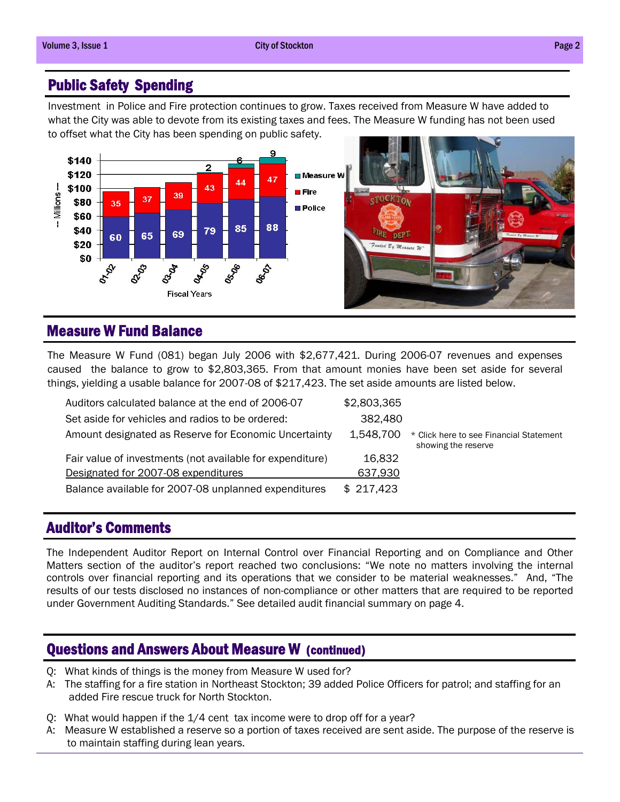#### Public Safety Spending

Investment in Police and Fire protection continues to grow. Taxes received from Measure W have added to what the City was able to devote from its existing taxes and fees. The Measure W funding has not been used to offset what the City has been spending on public safety.



### Measure W Fund Balance

The Measure W Fund (081) began July 2006 with \$2,677,421. During 2006-07 revenues and expenses caused the balance to grow to \$2,803,365. From that amount monies have been set aside for several things, yielding a usable balance for 2007-08 of \$217,423. The set aside amounts are listed below.

| Auditors calculated balance at the end of 2006-07         | \$2,803,365 |                                                                |
|-----------------------------------------------------------|-------------|----------------------------------------------------------------|
| Set aside for vehicles and radios to be ordered:          | 382,480     |                                                                |
| Amount designated as Reserve for Economic Uncertainty     | 1,548,700   | * Click here to see Financial Statement<br>showing the reserve |
| Fair value of investments (not available for expenditure) | 16,832      |                                                                |
| Designated for 2007-08 expenditures                       | 637,930     |                                                                |
| Balance available for 2007-08 unplanned expenditures      | \$217,423   |                                                                |

#### Auditor's Comments

The Independent Auditor Report on Internal Control over Financial Reporting and on Compliance and Other Matters section of the auditor's report reached two conclusions: "We note no matters involving the internal controls over financial reporting and its operations that we consider to be material weaknesses." And, "The results of our tests disclosed no instances of non-compliance or other matters that are required to be reported under Government Auditing Standards." See detailed audit financial summary on page 4.

#### Questions and Answers About Measure W (continued)

- Q: What kinds of things is the money from Measure W used for?
- A: The staffing for a fire station in Northeast Stockton; 39 added Police Officers for patrol; and staffing for an added Fire rescue truck for North Stockton.
- Q: What would happen if the 1/4 cent tax income were to drop off for a year?
- A: Measure W established a reserve so a portion of taxes received are sent aside. The purpose of the reserve is to maintain staffing during lean years.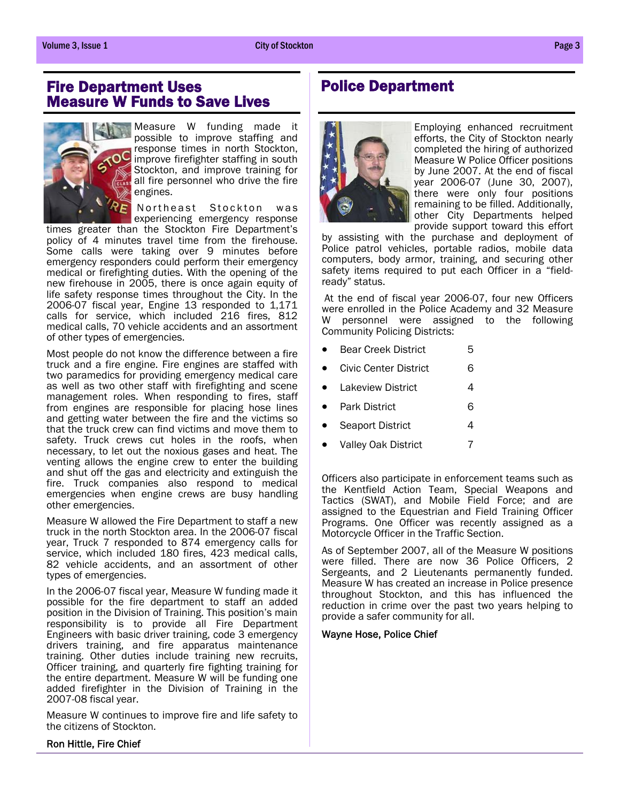#### Fire Department Uses Measure W Funds to Save Lives



Measure W funding made it possible to improve staffing and response times in north Stockton, improve firefighter staffing in south Stockton, and improve training for all fire personnel who drive the fire engines.

Northeast Stockton was experiencing emergency response

times greater than the Stockton Fire Department's policy of 4 minutes travel time from the firehouse. Some calls were taking over 9 minutes before emergency responders could perform their emergency medical or firefighting duties. With the opening of the new firehouse in 2005, there is once again equity of life safety response times throughout the City. In the 2006-07 fiscal year, Engine 13 responded to 1,171 calls for service, which included 216 fires, 812 medical calls, 70 vehicle accidents and an assortment of other types of emergencies.

Most people do not know the difference between a fire truck and a fire engine. Fire engines are staffed with two paramedics for providing emergency medical care as well as two other staff with firefighting and scene management roles. When responding to fires, staff from engines are responsible for placing hose lines and getting water between the fire and the victims so that the truck crew can find victims and move them to safety. Truck crews cut holes in the roofs, when necessary, to let out the noxious gases and heat. The venting allows the engine crew to enter the building and shut off the gas and electricity and extinguish the fire. Truck companies also respond to medical emergencies when engine crews are busy handling other emergencies.

Measure W allowed the Fire Department to staff a new truck in the north Stockton area. In the 2006-07 fiscal year, Truck 7 responded to 874 emergency calls for service, which included 180 fires, 423 medical calls, 82 vehicle accidents, and an assortment of other types of emergencies.

In the 2006-07 fiscal year, Measure W funding made it possible for the fire department to staff an added position in the Division of Training. This position's main responsibility is to provide all Fire Department Engineers with basic driver training, code 3 emergency drivers training, and fire apparatus maintenance training. Other duties include training new recruits, Officer training, and quarterly fire fighting training for the entire department. Measure W will be funding one added firefighter in the Division of Training in the 2007-08 fiscal year.

Measure W continues to improve fire and life safety to the citizens of Stockton.

### Police Department



Employing enhanced recruitment efforts, the City of Stockton nearly completed the hiring of authorized Measure W Police Officer positions by June 2007. At the end of fiscal year 2006-07 (June 30, 2007), there were only four positions remaining to be filled. Additionally, other City Departments helped provide support toward this effort

by assisting with the purchase and deployment of Police patrol vehicles, portable radios, mobile data computers, body armor, training, and securing other safety items required to put each Officer in a "fieldready" status.

 At the end of fiscal year 2006-07, four new Officers were enrolled in the Police Academy and 32 Measure W personnel were assigned to the following Community Policing Districts:

- **Bear Creek District** 5
- Civic Center District 6
- Lakeview District 4
- Park District 6
- **Seaport District 4**
- Valley Oak District 7

Officers also participate in enforcement teams such as the Kentfield Action Team, Special Weapons and Tactics (SWAT), and Mobile Field Force; and are assigned to the Equestrian and Field Training Officer Programs. One Officer was recently assigned as a Motorcycle Officer in the Traffic Section.

As of September 2007, all of the Measure W positions were filled. There are now 36 Police Officers, 2 Sergeants, and 2 Lieutenants permanently funded. Measure W has created an increase in Police presence throughout Stockton, and this has influenced the reduction in crime over the past two years helping to provide a safer community for all.

#### Wayne Hose, Police Chief

#### Ron Hittle, Fire Chief